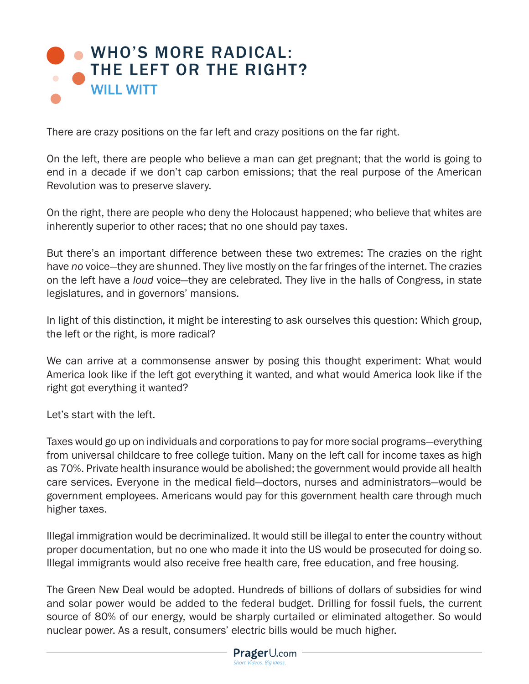## WHO'S MORE RADICAL: [THE LEFT OR THE RIGHT?](https://www.prageru.com/video/whos-more-radical-the-left-or-the-right/) WILL WITT

There are crazy positions on the far left and crazy positions on the far right.

On the left, there are people who believe a man can get pregnant; that the world is going to end in a decade if we don't cap carbon emissions; that the real purpose of the American Revolution was to preserve slavery.

On the right, there are people who deny the Holocaust happened; who believe that whites are inherently superior to other races; that no one should pay taxes.

But there's an important difference between these two extremes: The crazies on the right have *no* voice—they are shunned. They live mostly on the far fringes of the internet. The crazies on the left have a *loud* voice—they are celebrated. They live in the halls of Congress, in state legislatures, and in governors' mansions.

In light of this distinction, it might be interesting to ask ourselves this question: Which group, the left or the right, is more radical?

We can arrive at a commonsense answer by posing this thought experiment: What would America look like if the left got everything it wanted, and what would America look like if the right got everything it wanted?

Let's start with the left.

Taxes would go up on individuals and corporations to pay for more social programs—everything from universal childcare to free college tuition. Many on the left call for income taxes as high as 70%. Private health insurance would be abolished; the government would provide all health care services. Everyone in the medical field—doctors, nurses and administrators—would be government employees. Americans would pay for this government health care through much higher taxes.

Illegal immigration would be decriminalized. It would still be illegal to enter the country without proper documentation, but no one who made it into the US would be prosecuted for doing so. Illegal immigrants would also receive free health care, free education, and free housing.

The Green New Deal would be adopted. Hundreds of billions of dollars of subsidies for wind and solar power would be added to the federal budget. Drilling for fossil fuels, the current source of 80% of our energy, would be sharply curtailed or eliminated altogether. So would nuclear power. As a result, consumers' electric bills would be much higher.